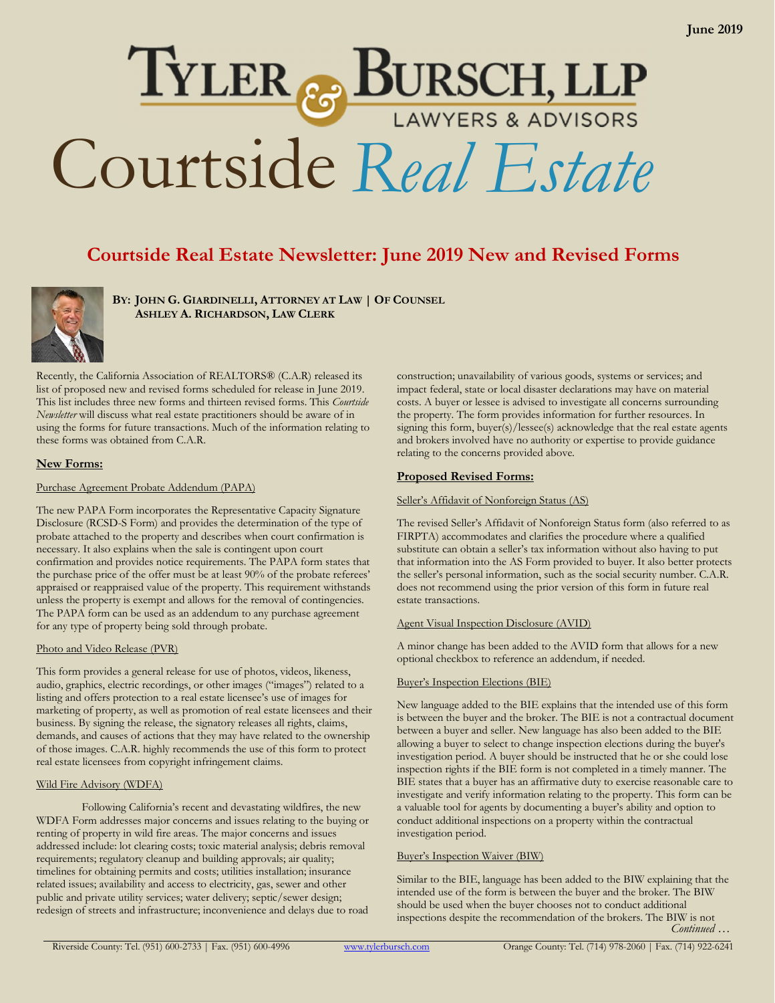# TYLER & BURSCH, LLP<br>Courtside Real Estate

# Courtside Real Estate Newsletter: June 2019 New and Revised Forms

BY: JOHN G. GIARDINELLI, ATTORNEY AT LAW | OF COUNSEL ASHLEY A. RICHARDSON, LAW CLERK



Recently, the California Association of REALTORS® (C.A.R) released its list of proposed new and revised forms scheduled for release in June 2019. This list includes three new forms and thirteen revised forms. This *Courtside Newsletter* will discuss what real estate practitioners should be aware of in using the forms for future transactions. Much of the information relating to these forms was obtained from C.A.R.

# New Forms:

### Purchase Agreement Probate Addendum (PAPA)

The new PAPA Form incorporates the Representative Capacity Signature Disclosure (RCSD-S Form) and provides the determination of the type of probate attached to the property and describes when court confirmation is necessary. It also explains when the sale is contingent upon court confirmation and provides notice requirements. The PAPA form states that the purchase price of the offer must be at least 90% of the probate referees' appraised or reappraised value of the property. This requirement withstands unless the property is exempt and allows for the removal of contingencies. The PAPA form can be used as an addendum to any purchase agreement for any type of property being sold through probate.

# Photo and Video Release (PVR)

This form provides a general release for use of photos, videos, likeness, audio, graphics, electric recordings, or other images ("images") related to a listing and offers protection to a real estate licensee's use of images for marketing of property, as well as promotion of real estate licensees and their business. By signing the release, the signatory releases all rights, claims, demands, and causes of actions that they may have related to the ownership of those images. C.A.R. highly recommends the use of this form to protect real estate licensees from copyright infringement claims.

# Wild Fire Advisory (WDFA)

Following California's recent and devastating wildfires, the new WDFA Form addresses major concerns and issues relating to the buying or renting of property in wild fire areas. The major concerns and issues addressed include: lot clearing costs; toxic material analysis; debris removal requirements; regulatory cleanup and building approvals; air quality; timelines for obtaining permits and costs; utilities installation; insurance related issues; availability and access to electricity, gas, sewer and other public and private utility services; water delivery; septic/sewer design; redesign of streets and infrastructure; inconvenience and delays due to road

construction; unavailability of various goods, systems or services; and impact federal, state or local disaster declarations may have on material costs. A buyer or lessee is advised to investigate all concerns surrounding the property. The form provides information for further resources. In signing this form, buyer(s)/lessee(s) acknowledge that the real estate agents and brokers involved have no authority or expertise to provide guidance relating to the concerns provided above.

# Proposed Revised Forms:

#### Seller's Affidavit of Nonforeign Status (AS)

The revised Seller's Affidavit of Nonforeign Status form (also referred to as FIRPTA) accommodates and clarifies the procedure where a qualified substitute can obtain a seller's tax information without also having to put that information into the AS Form provided to buyer. It also better protects the seller's personal information, such as the social security number. C.A.R. does not recommend using the prior version of this form in future real estate transactions.

#### Agent Visual Inspection Disclosure (AVID)

A minor change has been added to the AVID form that allows for a new optional checkbox to reference an addendum, if needed.

# Buyer's Inspection Elections (BIE)

New language added to the BIE explains that the intended use of this form is between the buyer and the broker. The BIE is not a contractual document between a buyer and seller. New language has also been added to the BIE allowing a buyer to select to change inspection elections during the buyer's investigation period. A buyer should be instructed that he or she could lose inspection rights if the BIE form is not completed in a timely manner. The BIE states that a buyer has an affirmative duty to exercise reasonable care to investigate and verify information relating to the property. This form can be a valuable tool for agents by documenting a buyer's ability and option to conduct additional inspections on a property within the contractual investigation period.

# Buyer's Inspection Waiver (BIW)

Similar to the BIE, language has been added to the BIW explaining that the intended use of the form is between the buyer and the broker. The BIW should be used when the buyer chooses not to conduct additional inspections despite the recommendation of the brokers. The BIW is not *Continued …*